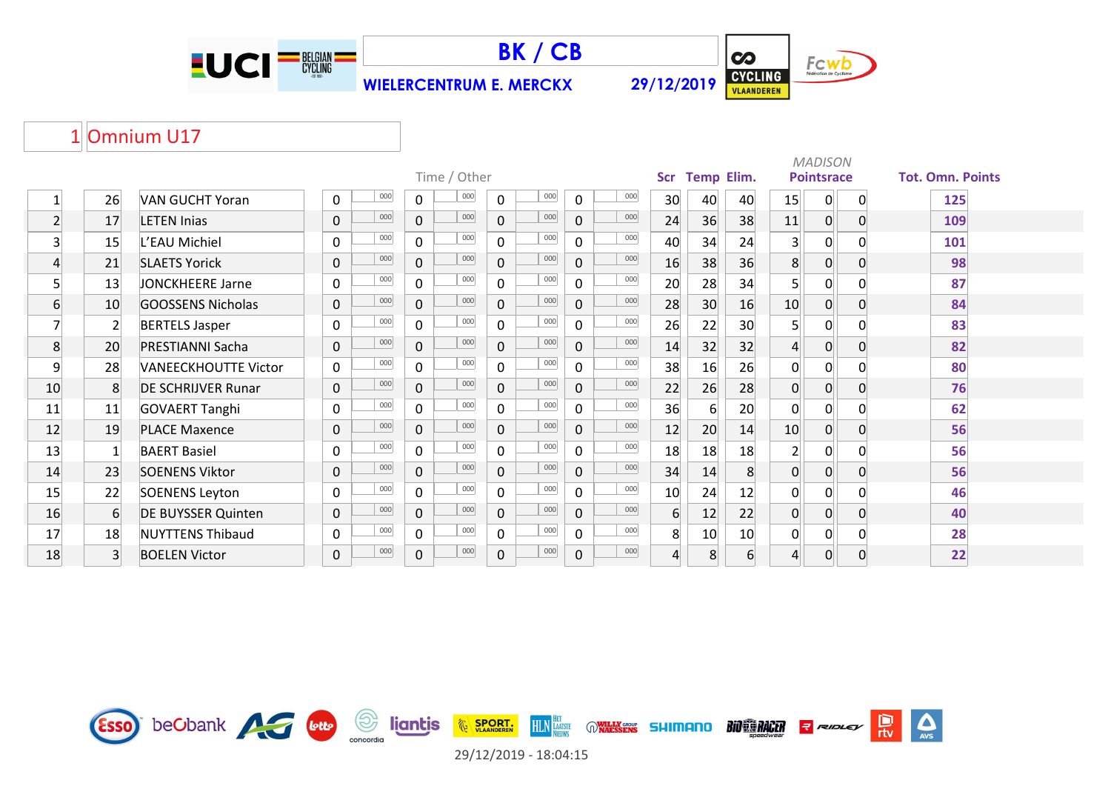



 $\overline{\mathbf{c}}$ Fcwb CYCLING

 $\sum_{\text{AVS}}$ 

## 1 Omnium U17

|                |                |                             |                     |                       |                       |                     |                |                   |    |                | <b>MADISON</b>    |                |                         |
|----------------|----------------|-----------------------------|---------------------|-----------------------|-----------------------|---------------------|----------------|-------------------|----|----------------|-------------------|----------------|-------------------------|
|                |                |                             |                     | Time / Other          |                       |                     | <b>Scr</b>     | <b>Temp Elim.</b> |    |                | <b>Pointsrace</b> |                | <b>Tot. Omn. Points</b> |
|                | 26             | <b>VAN GUCHT Yoran</b>      | 000<br>0            | 000<br>0              | 000<br>$\Omega$       | 000<br>$\mathbf 0$  | 30             | 40                | 40 | 15             | $\overline{0}$    | $\mathbf{0}$   | 125                     |
| $\overline{2}$ | 17             | <b>LETEN Inias</b>          | 000<br>$\mathbf 0$  | 000<br>$\mathbf 0$    | 000<br>$\overline{0}$ | 000<br>$\mathbf 0$  | 24             | 36                | 38 | 11             | $\overline{0}$    | $\mathbf{0}$   | 109                     |
| 3              | 15             | L'EAU Michiel               | 000<br>$\mathsf{O}$ | 000<br>$\mathbf 0$    | 000<br>$\mathbf 0$    | 000<br>$\mathbf 0$  | 40             | 34                | 24 | 3 <sub>1</sub> | $\overline{0}$    | $\Omega$       | 101                     |
| $\overline{4}$ | 21             | <b>SLAETS Yorick</b>        | 000<br>0            | 000<br>$\overline{0}$ | 000<br>$\mathbf 0$    | 000<br>$\mathbf 0$  | 16             | 38                | 36 | 8              | $\overline{0}$    | $\Omega$       | 98                      |
| 5              | 13             | JONCKHEERE Jarne            | 000<br>0            | 000<br>$\overline{0}$ | 000<br>0              | 000<br>$\mathbf 0$  | 20             | 28                | 34 | 5 <sup>1</sup> | $\overline{0}$    | ∩              | 87                      |
| 6              | 10             | GOOSSENS Nicholas           | 000<br>$\mathbf 0$  | 000<br>$\overline{0}$ | 000<br>$\mathbf 0$    | 000<br>$\mathbf 0$  | 28             | 30 <sup>°</sup>   | 16 | 10             | $\overline{0}$    | $\overline{0}$ | 84                      |
| 7              | $\overline{2}$ | <b>BERTELS Jasper</b>       | 000<br>0            | 000<br>$\mathbf{0}$   | 000<br>$\Omega$       | 000<br>$\Omega$     | 26             | 22                | 30 | 5 <sup>1</sup> | $\overline{0}$    | ∩              | 83                      |
| 8              | 20             | <b>PRESTIANNI Sacha</b>     | 000<br>$\mathbf 0$  | 000<br>$\overline{0}$ | 000<br>$\Omega$       | 000<br>$\Omega$     | 14             | 32                | 32 | $\overline{4}$ | $\overline{0}$    | $\Omega$       | 82                      |
| 9              | 28             | <b>VANEECKHOUTTE Victor</b> | 000<br>$\mathbf 0$  | 000<br>$\overline{0}$ | 000<br>$\Omega$       | 000<br>$\mathbf 0$  | 38             | 16                | 26 | 0              | $\overline{0}$    | ∩              | 80                      |
| 10             | 8              | <b>DE SCHRIJVER Runar</b>   | 000<br>$\mathbf 0$  | 000<br>$\mathbf 0$    | 000<br>$\overline{0}$ | 000<br>$\mathbf 0$  | 22             | 26                | 28 | 0              | $\overline{0}$    | $\Omega$       | 76                      |
| 11             | 11             | <b>GOVAERT Tanghi</b>       | 000<br>0            | 000<br>$\mathbf{0}$   | 000<br>$\Omega$       | 000<br>$\mathbf 0$  | 36             | 6                 | 20 | 0              | $\mathbf 0$       | $\Omega$       | 62                      |
| 12             | 19             | <b>PLACE Maxence</b>        | 000<br>0            | 000<br>$\overline{0}$ | 000<br>$\overline{0}$ | 000<br>$\mathbf{0}$ | 12             | 20                | 14 | 10             | $\overline{0}$    | $\Omega$       | 56                      |
| 13             |                | <b>BAERT Basiel</b>         | 000<br>0            | 000<br>$\overline{0}$ | 000<br>$\Omega$       | 000<br>$\mathbf 0$  | 18             | 18                | 18 | $2\vert$       | $\overline{0}$    | ∩              | 56                      |
| 14             | 23             | <b>SOENENS Viktor</b>       | 000<br>$\mathbf 0$  | 000<br>$\overline{0}$ | 000<br>$\mathbf 0$    | 000<br>$\mathbf 0$  | 34             | 14                | 8  | $\overline{0}$ | $\overline{0}$    | $\Omega$       | 56                      |
| 15             | 22             | <b>SOENENS Leyton</b>       | 000<br>0            | 000<br>$\mathsf{O}$   | 000<br>0              | 000<br>$\Omega$     | 10             | 24                | 12 | 0              | $\overline{0}$    |                | 46                      |
| 16             | 6              | <b>DE BUYSSER Quinten</b>   | 000<br>$\mathbf 0$  | 000<br>$\overline{0}$ | 000<br>$\mathbf 0$    | 000<br>$\mathbf 0$  | 6 <sup>1</sup> | 12                | 22 | $\overline{0}$ | $\overline{0}$    | $\Omega$       | 40                      |
| 17             | 18             | <b>NUYTTENS Thibaud</b>     | 000<br>0            | 000<br>$\mathbf{0}$   | 000<br>$\mathbf{0}$   | 000<br>$\mathbf 0$  | 8              | 10                | 10 | 0              | $\overline{0}$    | $\Omega$       | 28                      |
| 18             | $\overline{3}$ | <b>BOELEN Victor</b>        | 000<br>$\mathbf{0}$ | 000<br>$\overline{0}$ | 000<br>$\mathbf 0$    | 000<br>$\mathbf 0$  | $\overline{4}$ | 8                 | 6  | 4              | $\overline{0}$    | $\overline{0}$ | 22                      |

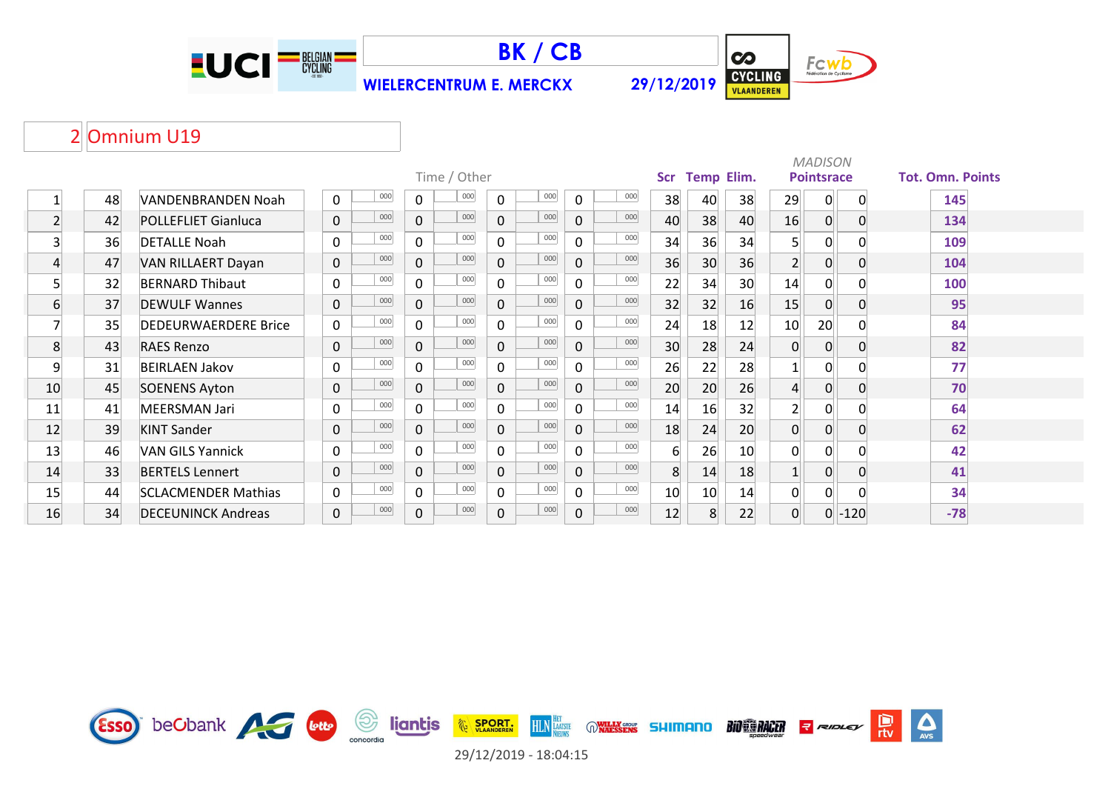



 $\overline{\mathbf{c}}$ Fcwb CYCLING

 $\sum_{r \text{tv}}$ 

 $\sum_{\text{AVS}}$ 

## 2 Omnium U19

|                |    |                             |                |     |                |              |              |     |              |     |                |                   |    |                | <b>MADISON</b>    |             |                         |  |
|----------------|----|-----------------------------|----------------|-----|----------------|--------------|--------------|-----|--------------|-----|----------------|-------------------|----|----------------|-------------------|-------------|-------------------------|--|
|                |    |                             |                |     |                | Time / Other |              |     |              |     | <b>Scr</b>     | <b>Temp Elim.</b> |    |                | <b>Pointsrace</b> |             | <b>Tot. Omn. Points</b> |  |
|                | 48 | VANDENBRANDEN Noah          | 0              | 000 | $\mathbf{0}$   | 000          | $\mathbf{0}$ | 000 | $\mathbf 0$  | 000 | 38             | 40                | 38 | 29             | 0                 | $\mathbf 0$ | 145                     |  |
| $\overline{2}$ | 42 | <b>POLLEFLIET Gianluca</b>  | $\mathbf 0$    | 000 | $\mathbf 0$    | 000          | $\Omega$     | 000 | $\Omega$     | 000 | 40             | 38                | 40 | 16             | 0                 |             | 134                     |  |
| $\overline{3}$ | 36 | <b>DETALLE Noah</b>         | 0              | 000 | 0              | 000          | $\Omega$     | 000 | $\Omega$     | 000 | 34             | 36                | 34 | 5 <sup>1</sup> | 0                 |             | 109                     |  |
| 4              | 47 | VAN RILLAERT Dayan          | $\mathbf 0$    | 000 | $\overline{0}$ | 000          | $\mathbf 0$  | 000 | $\mathbf 0$  | 000 | 36             | 30 <sup>°</sup>   | 36 | 2 <sup>1</sup> | $\overline{0}$    |             | 104                     |  |
| 5              | 32 | <b>BERNARD Thibaut</b>      | $\mathbf 0$    | 000 | $\mathsf{O}$   | 000          | $\mathbf{0}$ | 000 | $\mathbf 0$  | 000 | 22             | 34                | 30 | 14             | $\overline{0}$    |             | 100                     |  |
| $6 \mid$       | 37 | <b>DEWULF Wannes</b>        | $\overline{0}$ | 000 | $\mathbf 0$    | 000          | $\Omega$     | 000 | $\mathbf 0$  | 000 | 32             | 32                | 16 | 15             | $\overline{0}$    |             | 95                      |  |
|                | 35 | <b>DEDEURWAERDERE Brice</b> | $\mathbf 0$    | 000 | $\Omega$       | 000          | $\Omega$     | 000 | $\Omega$     | 000 | 24             | 18                | 12 | 10             | 20                |             | 84                      |  |
| 8              | 43 | <b>RAES Renzo</b>           | $\mathbf 0$    | 000 | $\Omega$       | 000          | $\Omega$     | 000 | $\Omega$     | 000 | 30             | 28                | 24 | $\Omega$       | $\overline{0}$    |             | 82                      |  |
| 9              | 31 | <b>BEIRLAEN Jakov</b>       | 0              | 000 | 0              | 000          | $\Omega$     | 000 | $\Omega$     | 000 | 26             | 22                | 28 |                | 0                 |             | 77                      |  |
| 10             | 45 | <b>SOENENS Ayton</b>        | 0              | 000 | 0              | 000          | $\mathbf{0}$ | 000 | $\mathbf{0}$ | 000 | 20             | 20                | 26 | $\overline{4}$ | $\overline{0}$    |             | 70                      |  |
| 11             | 41 | MEERSMAN Jari               | 0              | 000 | $\mathbf{0}$   | 000          | $\mathbf{0}$ | 000 | $\mathbf{0}$ | 000 | 14             | 16                | 32 | $\mathbf{2}$   | $\overline{0}$    |             | 64                      |  |
| 12             | 39 | <b>KINT Sander</b>          | 0              | 000 | 0              | 000          | $\mathbf 0$  | 000 | $\mathbf 0$  | 000 | 18             | 24                | 20 | $\Omega$       | $\overline{0}$    |             | 62                      |  |
| 13             | 46 | <b>VAN GILS Yannick</b>     | 0              | 000 | $\Omega$       | 000          | $\Omega$     | 000 | $\mathbf{0}$ | 000 | 6              | 26                | 10 | $\Omega$       | 0                 |             | 42                      |  |
| 14             | 33 | <b>BERTELS Lennert</b>      | 0              | 000 | $\mathbf 0$    | 000          | $\Omega$     | 000 | $\mathbf{0}$ | 000 | 8 <sup>1</sup> | 14                | 18 |                | $\overline{0}$    |             | 41                      |  |
| 15             | 44 | <b>SCLACMENDER Mathias</b>  | 0              | 000 | 0              | 000          | $\Omega$     | 000 | $\mathbf{0}$ | 000 | 10             | 10 <sup>°</sup>   | 14 | $\overline{0}$ | 0                 |             | 34                      |  |
| 16             | 34 | <b>DECEUNINCK Andreas</b>   | $\mathbf 0$    | 000 | $\mathbf 0$    | 000          | $\mathbf 0$  | 000 | $\mathbf 0$  | 000 | 12             | 8 <sup>1</sup>    | 22 | $\overline{0}$ | 0 <sup>1</sup>    | $-120$      | $-78$                   |  |

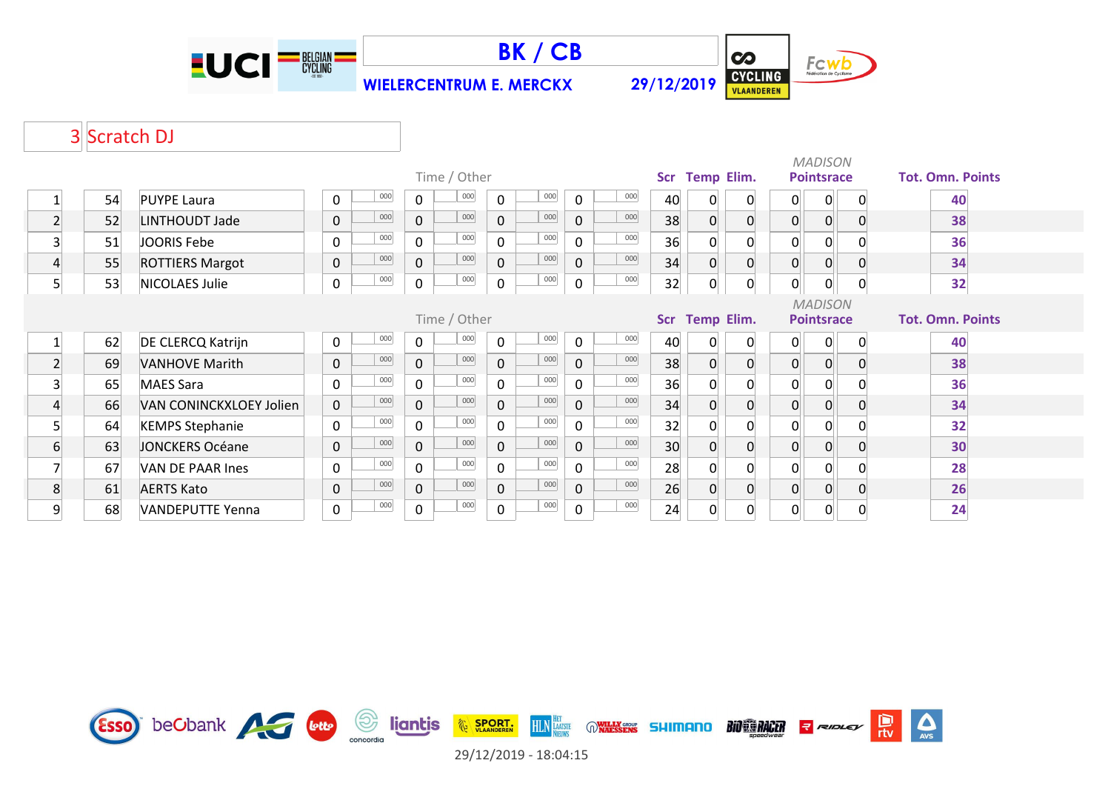





## 3 Scratch DJ

|                         |              |                         | Time / Other |     |              |     |                |     |              |     |    |                     |             | <b>MADISON</b><br><b>Pointsrace</b> |                |                | <b>Tot. Omn. Points</b> |  |
|-------------------------|--------------|-------------------------|--------------|-----|--------------|-----|----------------|-----|--------------|-----|----|---------------------|-------------|-------------------------------------|----------------|----------------|-------------------------|--|
|                         | 54           | <b>PUYPE Laura</b>      | $\mathbf 0$  | 000 | 0            | 000 | 0              | 000 | $\Omega$     | 000 | 40 | Scr Temp Elim.<br>0 | 0           | 0                                   | 0              | $\Omega$       | 40                      |  |
| $\overline{2}$          | 52           | LINTHOUDT Jade          | $\pmb{0}$    | 000 | $\mathbf 0$  | 000 | $\mathbf 0$    | 000 | $\Omega$     | 000 | 38 | $\overline{0}$      | $\mathbf 0$ | $\overline{0}$                      | $\overline{0}$ | $\Omega$       | 38                      |  |
| $\overline{\mathbf{3}}$ | 51           | JOORIS Febe             | $\mathbf 0$  | 000 | 0            | 000 | $\mathbf 0$    | 000 | $\mathbf{0}$ | 000 | 36 | 0                   | 0           | 0                                   | $\overline{0}$ |                | 36                      |  |
| 4                       | 55           | <b>ROTTIERS Margot</b>  | $\pmb{0}$    | 000 | $\mathbf 0$  | 000 | $\overline{0}$ | 000 | $\mathbf{0}$ | 000 | 34 | 0                   | 0           | 0                                   | 0              | $\Omega$       | 34                      |  |
| 5                       | 53           | NICOLAES Julie          | $\pmb{0}$    | 000 | $\mathbf 0$  | 000 | 0              | 000 | 0            | 000 | 32 | 0                   | $\mathbf 0$ | 0                                   | 0              | $\overline{0}$ | 32                      |  |
|                         | Time / Other |                         |              |     |              |     |                |     |              |     |    | Scr Temp Elim.      |             | <b>MADISON</b><br><b>Pointsrace</b> |                |                | <b>Tot. Omn. Points</b> |  |
|                         | 62           | DE CLERCQ Katrijn       | $\mathbf 0$  | 000 | 0            | 000 | $\mathbf{0}$   | 000 | $\mathbf{0}$ | 000 | 40 | 0                   | 0           | $\overline{0}$                      | $\Omega$       | $\Omega$       | 40                      |  |
| 2 <sup>1</sup>          | 69           | <b>VANHOVE Marith</b>   | $\mathbf 0$  | 000 | $\mathbf 0$  | 000 | $\mathbf 0$    | 000 | $\Omega$     | 000 | 38 | $\overline{0}$      | $\mathbf 0$ | 0                                   | $\overline{0}$ | $\overline{0}$ | 38                      |  |
| $\mathbf{3}$            | 65           | <b>MAES Sara</b>        | $\mathbf 0$  | 000 | $\mathbf 0$  | 000 | $\Omega$       | 000 | $\Omega$     | 000 | 36 | $\Omega$            | 0           | 0                                   | 0              | $\Omega$       | 36                      |  |
| 4                       | 66           | VAN CONINCKXLOEY Jolien | $\pmb{0}$    | 000 | $\mathbf 0$  | 000 | $\mathbf{0}$   | 000 | $\mathbf 0$  | 000 | 34 | 0                   | $\mathbf 0$ | 0                                   | $\overline{0}$ | $\overline{0}$ | 34                      |  |
| 5                       | 64           | <b>KEMPS Stephanie</b>  | $\mathbf 0$  | 000 | $\mathsf{O}$ | 000 | $\mathsf{O}$   | 000 | $\mathbf 0$  | 000 | 32 | $\Omega$            | 0           | $\Omega$                            | $\Omega$       |                | 32                      |  |
| 6                       | 63           | <b>JONCKERS Océane</b>  | $\pmb{0}$    | 000 | $\mathbf 0$  | 000 | $\mathbf 0$    | 000 | $\mathbf 0$  | 000 | 30 | 0                   | $\mathbf 0$ | 0                                   | $\Omega$       | $\Omega$       | 30                      |  |
|                         | 67           | VAN DE PAAR Ines        | $\mathbf 0$  | 000 | $\mathbf 0$  | 000 | 0              | 000 | $\Omega$     | 000 | 28 | $\Omega$            | $\Omega$    | $\Omega$                            | $\Omega$       |                | 28                      |  |
| 8                       | 61           | <b>AERTS Kato</b>       | $\pmb{0}$    | 000 | $\mathbf 0$  | 000 | $\mathbf 0$    | 000 | $\mathbf{0}$ | 000 | 26 | $\Omega$            | 0           | 0                                   | $\overline{0}$ | $\Omega$       | 26                      |  |
| 9                       | 68           | <b>VANDEPUTTE Yenna</b> | $\pmb{0}$    | 000 | $\pmb{0}$    | 000 | $\mathsf 0$    | 000 | $\mathbf 0$  | 000 | 24 | 0                   | 0           | 0                                   | 0              | 0              | 24                      |  |